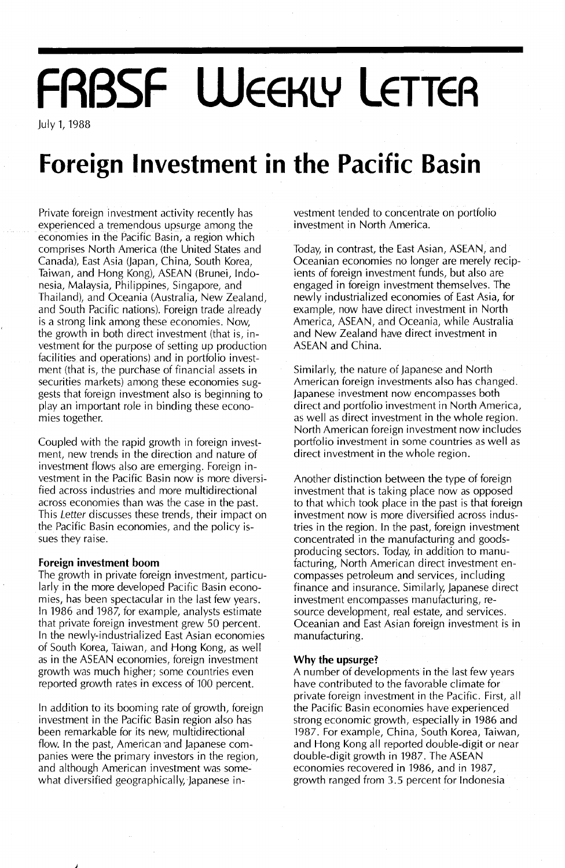# **FRBSF WEEKLY LETTER**

July 1, 1988

## **Foreign Investment in the Pacific Basin**

Private foreign investment activity recently has experienced atremendous upsurge among the economies in the Pacific Basin, a region which comprises North America (the United States and Canada), East Asia (Japan, China, South Korea, Taiwan, and Hong Kong), ASEAN (Brunei, Indonesia, Malaysia, Philippines, Singapore, and Thailand), and Oceania (Australia, New Zealand, and South Pacific nations). Foreign trade already is a strong link among these economies. Now, the growth in both direct investment (that is, investment for the purpose of setting up production facilities and operations) and in portfolio investment (that is, the purchase of financial assets in securities markets) among these economies suggests that foreign investment also is beginning to play an important role in binding these economies together.

Coupled with the rapid growth in foreign investment, new trends in the direction and nature of investment flows also are emerging. Foreign investment in the Pacific Basin now is more diversified across industries and more multidirectional across economies than was the case in the past. This Letter discusses these trends, their impact on the Pacific Basin economies, and the policy issues they raise.

#### **Foreign investment boom**

The growth in private foreign investment, particularly in the more developed Pacific Basin economies, has been spectacular in the last few years. In 1986 and 1987, for example, analysts estimate that private foreign investment grew 50 percent. In the newly-industrialized East Asian economies of South Korea, Taiwan, and Hong Kong, as well as in the ASEAN economies, foreign investment growth was much higher; some countries even reported growth rates in excess of 100 percent.

In addition to its booming rate of growth, foreign investment in the Pacific Basin region also has been remarkable for its new, multidirectional flow. In the past, American 'and Japanese companies were the primary investors in the region, and although American investment was somewhat diversified geographically, Japanese investment tended to concentrate on portfolio investment in North America.

Today, in contrast, the East Asian, ASEAN, and Oceanian economies no longer are merely recipients of foreign investment funds, but also are engaged in foreign investment themselves. The newly industrialized economies of East Asia, for example, now have direct investment in North America, ASEAN, and Oceania, while Australia and New Zealand have direct investment in ASEAN and China.

Similarly, the nature of Japanese and North American foreign investments also has changed. Japanese investment now encompasses. both direct and portfolio investment in North America, as well as direct investment in the whole region. North American foreign investment now includes portfolio investment in some countries as well as direct investment in the whole region.

Another distinction between the type of foreign investment that is taking place now as opposed to that which took place in the past is that foreign investment now is more diversified across industries in the region. In the past, foreign investment concentrated in the manufacturing and goodsproducing sectors. Today, in addition to manufacturing, North American direct investment encompasses petroleum and services, including finance and insurance. Similarly, Japanese direct investment encompasses manufacturing, resource development, real estate, and services. Oceanian and East Asian foreign investment is in manufacturing.

#### **Why the upsurge?**

A number of developments in the last few years have contributed to the favorable climate for private foreign investment in the Pacific. First, all the Pacific Basin economies have experienced strong economic growth, especially in 1986 and 1987. For example, China, South Korea, Taiwan, and Hong Kong all reported double-digit or near double-digit growth in 1987. The ASEAN economies recovered in 1986, and in 1987, growth ranged from 3.5 percent for Indonesia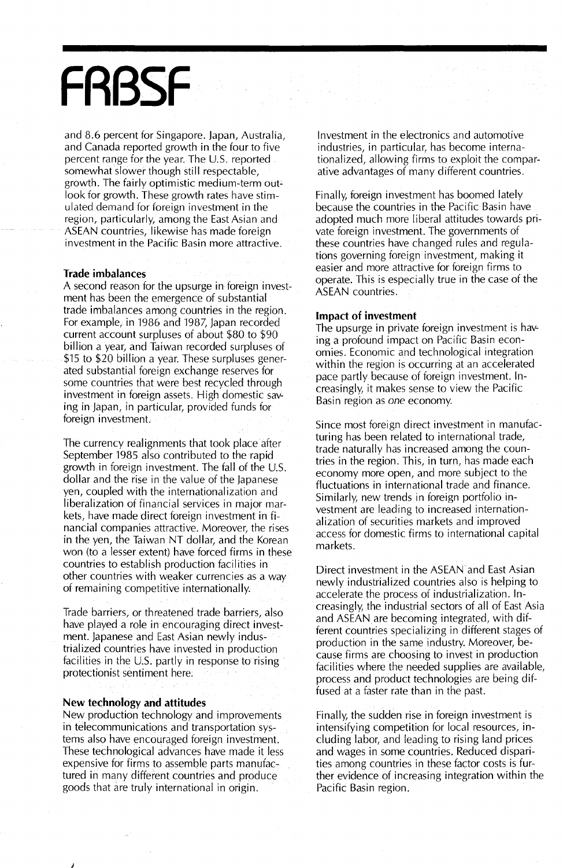## **FRBSF**

and 8.6 percent for Singapore. Japan, Australia, and Canada reported growth in the four to five percent range for the year. The U.S. reported somewhat slower though still respectable, growth. The fairly optimistic medium-term outlook for growth. These growth rates have stimulated demand for foreign investment in the region, particularly, among the East Asian and ASEAN countries, likewise has made foreign investment in the Pacific Basin more attractive.

#### Trade imbalances

A second reason for the upsurge in foreign investment has been the emergence of substantial trade imbalances among countries in the region. For example, in 1986 and 1987, Japan recorded current account surpluses of about \$80 to \$90 billion a year, and Taiwan recorded surpluses of \$15 to \$20 billion a year. These surpluses generated substantial foreign exchange reserves for some countries that were best recycled through investment in foreign assets. High domestic saving in Japan, in particular, provided funds for foreign investment.

The currency realignments that took place after September 1985 also contributed to the rapid growth in foreign investment. The fall of the U.s. dollar and the rise in the value of the Japanese yen, coupled with the internationalization and liberalization of financial services in major markets, have made direct foreign investment in financial companies attractive. Moreover, the rises in the yen, the Taiwan NT dollar, and the Korean won (to a lesser extent) have forced firms in these countries to establish production facilities in other countries with weaker currencies as away ofremaining competitive internationally.

Trade barriers, or threatened trade barriers, also have played a role in encouraging direct investment. Japanese and East Asian newly industrialized countries have invested in production facilities in the U.S. partly in response to rising protectionist sentiment here.

#### **New technology and attitudes**

New production technology and improvements in telecommunications and transportation systems also have encouraged foreign investment. These technological advances have made it less expensive for firms to assemble parts manufactured in many different countries and produce goods that are truly international in origin.

Investment in the electronics and automotive industries, in particular, has become internationalized, allowing firms to exploit the comparative advantages of many different countries.

Finally, foreign investment has boomed lately because the countries in the Pacific Basin have adopted much more liberal attitudes towards private foreign investment. The governments of these countries have changed rules and regulations governing foreign investment, making it easier and more attractive for foreign firms to operate. This is especially true in the case of the ASEAN countries.

#### **Impact of investment**

The upsurge in private foreign investment is having a profound impact on Pacific Basin economies. Economic and technological integration within the region is occurring at an accelerated pace partly because of foreign investment. Increasingly, it makes sense to view the Pacific Basin region as *one* economy.

Since most foreign direct investment in manufacturing has been related to international trade, trade naturally has increased among the countries in the region. This, in turn, has made each economy more open, and more subject to the fluctuations in international trade and finance. Similarly, new trends in foreign portfolio investment are leading to increased internationalization of securities markets and improved access for domestic firms to international capital markets.

Direct investment in the ASEAN and East Asian newly industrialized countries also is helping to accelerate the process of industrialization. Increasingly, the industrial sectors of all of East Asia and ASEAN are becoming integrated, with different countries specializing in different stages of production in the same industry. Moreover, because.firms are choosing to invest in production facilities where the needed supplies are available, process and product technologies are being diffused at a faster rate than in the past.

Finally, the sudden rise in foreign investment is intensifying competition for local resources, including labor, and leading to rising land prices and wages in some countries. Reduced disparities among countries in these factor costs is further evidence of increasing integration within the Pacific Basin region.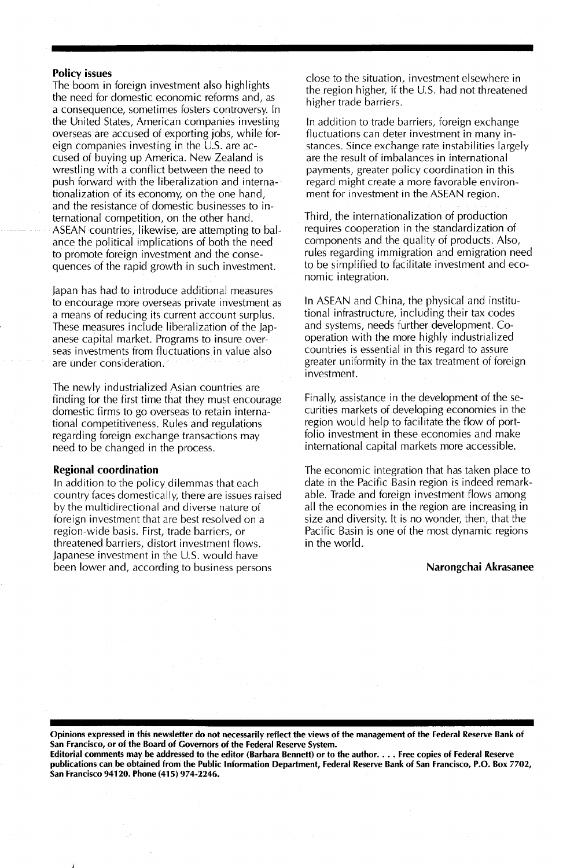#### Policy issues

The boom in foreign investment also highlights the need for domestic economic reforms and, as a consequence, sometimes fosters controversy. In the United States, American companies investing overseas are accused of exporting jobs, while foreign companies investing in the U.S. are accused of buying up America. New Zealand is wrestling with a conflict between the need to push forward with the liberalization and internationalization of its economy, on the one hand, and the resistance of domestic businesses to international competition, on the other hand. ASEAN countries, likewise, are attempting to balance the political implications of both the need to promote foreign investment and the consequences of the rapid growth in such investment.

japan has had to introduce additional measures to encourage more overseas private investment as a means of reducing its current account surplus. These measures include liberalization of the japanese capital market. Programs to insure overseas investments from fluctuations in value also are under consideration.

The newly industrialized Asian countries are finding for the first time that they must encourage domestic firms to go overseas to retain international competitiveness. Rules and regulations regarding foreign exchange transactions may need to be changed in the process.

#### Regional coordination

In addition to the policy dilemmas that each country faces domestically, there are issues raised by the multidirectional and diverse nature of foreign investment that are best resolved on a region-wide basis. First, trade barriers, or threatened barriers, distort investment flows. japanese investment in the U.S. would have been lower and, according to business persons

close to the situation, investment elsewhere in the region higher, if the U.S. had not threatened higher trade barriers.

In addition to trade barriers, foreign exchange fluctuations can deter investment in many instances. Since exchange rate instabilities largely are the result of imbalances in international payments, greater policy coordination in this regard might create a more favorable environment for investment in the ASEAN region.

Third, the internationalization of production requires cooperation in the standardization of components and the quality of products. Also, rules regarding immigration and emigration need to be simplified to facilitate investment and economic integration.

In ASEAN and China, the physical and institutional infrastructure, including their tax codes and systems, needs further development. Cooperation with the more highly industrialized countries is essential in this regard to assure greater uniformity in the tax treatment of foreign investment.

Finally, assistance in the development of the securities markets of developing economies in the region would help to facilitate the flow of portfolio investment in these economies and make international capital markets more accessible.

The economic integration that has taken place to date in the Pacific Basin region is indeed remarkable. Trade and foreign investment flows among all the economies in the region are increasing in size and diversity. It is no wonder, then, that the Pacific Basin is one of the most dynamic regions in the world.

#### Narongchai Akrasanee

Opinions expressed in this newsletter do not necessarily reflect the views of the management of the Federal Reserve Bank of San Francisco, or of the Board of Governors of the Federal Reserve System.

Editorial comments may be addressed to the editor (Barbara Bennett) or to the author. . . . Free copies of Federal Reserve publications can be obtained from the Public Information Department, Federal Reserve Bank of San Francisco, P.O. Box 7702, San Francisco 94120. Phone (415) 974-2246.